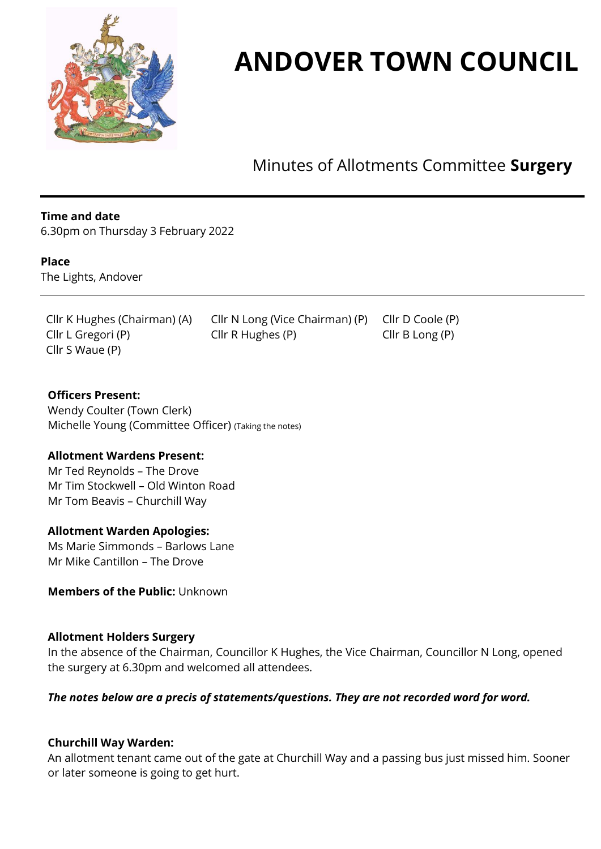

# **ANDOVER TOWN COUNCIL**

Minutes of Allotments Committee **Surgery**

## **Time and date**

6.30pm on Thursday 3 February 2022

#### **Place**

The Lights, Andover

Cllr S Waue (P)

Cllr K Hughes (Chairman) (A) Cllr N Long (Vice Chairman) (P) Cllr D Coole (P) Cllr L Gregori (P) Cllr R Hughes (P) Cllr B Long (P)

**Officers Present:**  Wendy Coulter (Town Clerk) Michelle Young (Committee Officer) (Taking the notes)

#### **Allotment Wardens Present:**

Mr Ted Reynolds – The Drove Mr Tim Stockwell – Old Winton Road Mr Tom Beavis – Churchill Way

## **Allotment Warden Apologies:**

Ms Marie Simmonds – Barlows Lane Mr Mike Cantillon – The Drove

#### **Members of the Public:** Unknown

#### **Allotment Holders Surgery**

In the absence of the Chairman, Councillor K Hughes, the Vice Chairman, Councillor N Long, opened the surgery at 6.30pm and welcomed all attendees.

# *The notes below are a precis of statements/questions. They are not recorded word for word.*

#### **Churchill Way Warden:**

An allotment tenant came out of the gate at Churchill Way and a passing bus just missed him. Sooner or later someone is going to get hurt.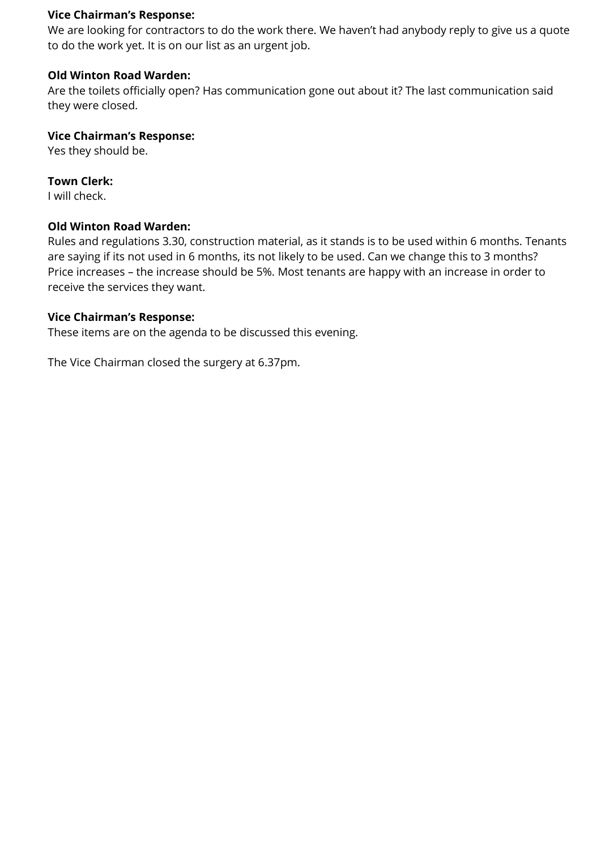## **Vice Chairman's Response:**

We are looking for contractors to do the work there. We haven't had anybody reply to give us a quote to do the work yet. It is on our list as an urgent job.

# **Old Winton Road Warden:**

Are the toilets officially open? Has communication gone out about it? The last communication said they were closed.

# **Vice Chairman's Response:**

Yes they should be.

# **Town Clerk:**

I will check.

# **Old Winton Road Warden:**

Rules and regulations 3.30, construction material, as it stands is to be used within 6 months. Tenants are saying if its not used in 6 months, its not likely to be used. Can we change this to 3 months? Price increases – the increase should be 5%. Most tenants are happy with an increase in order to receive the services they want.

# **Vice Chairman's Response:**

These items are on the agenda to be discussed this evening.

The Vice Chairman closed the surgery at 6.37pm.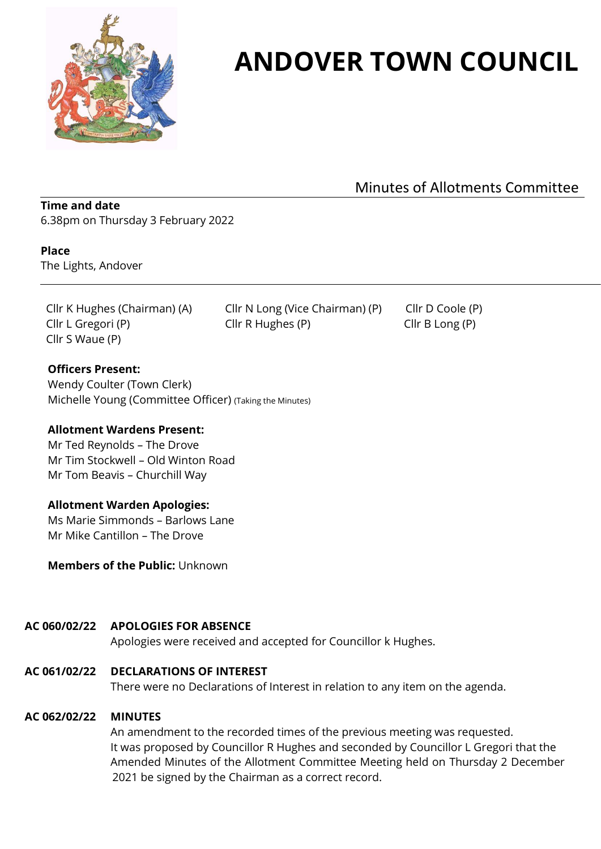

# **ANDOVER TOWN COUNCIL**

Minutes of Allotments Committee

# **Time and date**

6.38pm on Thursday 3 February 2022

#### **Place**

The Lights, Andover

Cllr S Waue (P)

Cllr K Hughes (Chairman) (A) Cllr N Long (Vice Chairman) (P) Cllr D Coole (P) Cllr L Gregori (P) Cllr R Hughes (P) Cllr B Long (P)

## **Officers Present:**

Wendy Coulter (Town Clerk) Michelle Young (Committee Officer) (Taking the Minutes)

#### **Allotment Wardens Present:**

Mr Ted Reynolds – The Drove Mr Tim Stockwell – Old Winton Road Mr Tom Beavis – Churchill Way

#### **Allotment Warden Apologies:**

Ms Marie Simmonds – Barlows Lane Mr Mike Cantillon – The Drove

**Members of the Public:** Unknown

#### **AC 060/02/22 APOLOGIES FOR ABSENCE**

Apologies were received and accepted for Councillor k Hughes.

**AC 061/02/22 DECLARATIONS OF INTEREST**

There were no Declarations of Interest in relation to any item on the agenda.

#### **AC 062/02/22 MINUTES**

An amendment to the recorded times of the previous meeting was requested. It was proposed by Councillor R Hughes and seconded by Councillor L Gregori that the Amended Minutes of the Allotment Committee Meeting held on Thursday 2 December 2021 be signed by the Chairman as a correct record.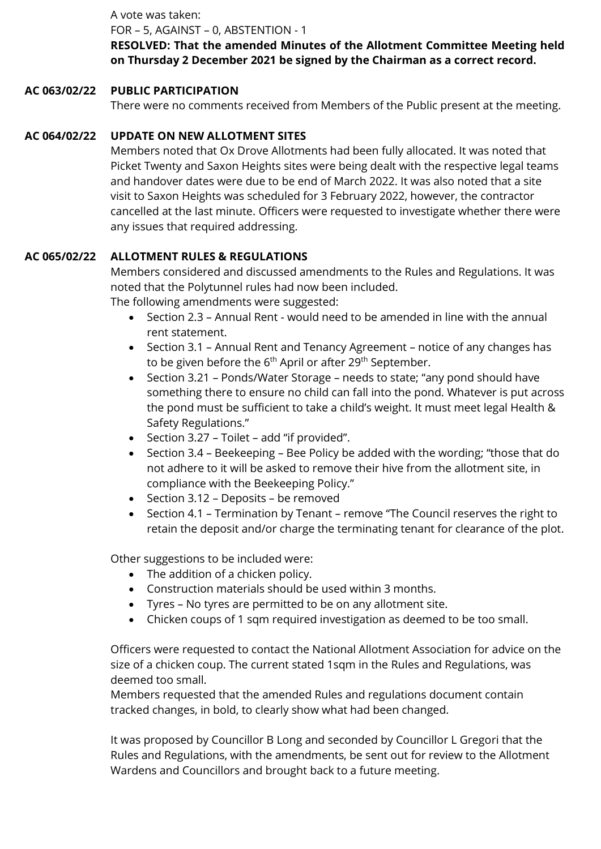A vote was taken:

FOR – 5, AGAINST – 0, ABSTENTION - 1

**RESOLVED: That the amended Minutes of the Allotment Committee Meeting held on Thursday 2 December 2021 be signed by the Chairman as a correct record.**

# **AC 063/02/22 PUBLIC PARTICIPATION**

There were no comments received from Members of the Public present at the meeting.

# **AC 064/02/22 UPDATE ON NEW ALLOTMENT SITES**

Members noted that Ox Drove Allotments had been fully allocated. It was noted that Picket Twenty and Saxon Heights sites were being dealt with the respective legal teams and handover dates were due to be end of March 2022. It was also noted that a site visit to Saxon Heights was scheduled for 3 February 2022, however, the contractor cancelled at the last minute. Officers were requested to investigate whether there were any issues that required addressing.

# **AC 065/02/22 ALLOTMENT RULES & REGULATIONS**

Members considered and discussed amendments to the Rules and Regulations. It was noted that the Polytunnel rules had now been included.

The following amendments were suggested:

- Section 2.3 Annual Rent would need to be amended in line with the annual rent statement.
- Section 3.1 Annual Rent and Tenancy Agreement notice of any changes has to be given before the  $6<sup>th</sup>$  April or after 29<sup>th</sup> September.
- Section 3.21 Ponds/Water Storage needs to state; "any pond should have something there to ensure no child can fall into the pond. Whatever is put across the pond must be sufficient to take a child's weight. It must meet legal Health & Safety Regulations."
- Section 3.27 Toilet add "if provided".
- Section 3.4 Beekeeping Bee Policy be added with the wording; "those that do not adhere to it will be asked to remove their hive from the allotment site, in compliance with the Beekeeping Policy."
- Section 3.12 Deposits be removed
- Section 4.1 Termination by Tenant remove "The Council reserves the right to retain the deposit and/or charge the terminating tenant for clearance of the plot.

Other suggestions to be included were:

- The addition of a chicken policy.
- Construction materials should be used within 3 months.
- Tyres No tyres are permitted to be on any allotment site.
- Chicken coups of 1 sqm required investigation as deemed to be too small.

Officers were requested to contact the National Allotment Association for advice on the size of a chicken coup. The current stated 1sqm in the Rules and Regulations, was deemed too small.

Members requested that the amended Rules and regulations document contain tracked changes, in bold, to clearly show what had been changed.

It was proposed by Councillor B Long and seconded by Councillor L Gregori that the Rules and Regulations, with the amendments, be sent out for review to the Allotment Wardens and Councillors and brought back to a future meeting.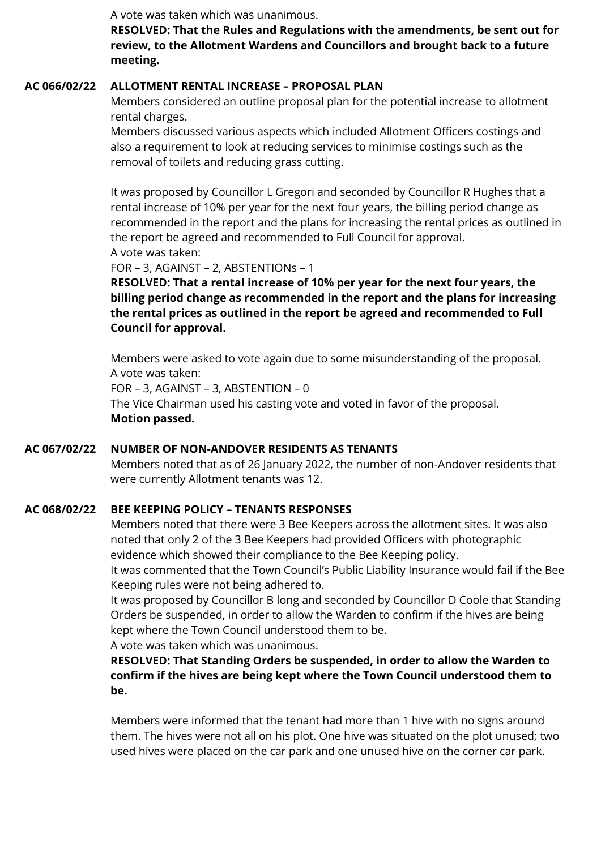A vote was taken which was unanimous.

**RESOLVED: That the Rules and Regulations with the amendments, be sent out for review, to the Allotment Wardens and Councillors and brought back to a future meeting.**

# **AC 066/02/22 ALLOTMENT RENTAL INCREASE – PROPOSAL PLAN**

Members considered an outline proposal plan for the potential increase to allotment rental charges.

Members discussed various aspects which included Allotment Officers costings and also a requirement to look at reducing services to minimise costings such as the removal of toilets and reducing grass cutting.

It was proposed by Councillor L Gregori and seconded by Councillor R Hughes that a rental increase of 10% per year for the next four years, the billing period change as recommended in the report and the plans for increasing the rental prices as outlined in the report be agreed and recommended to Full Council for approval. A vote was taken:

FOR – 3, AGAINST – 2, ABSTENTIONs – 1

**RESOLVED: That a rental increase of 10% per year for the next four years, the billing period change as recommended in the report and the plans for increasing the rental prices as outlined in the report be agreed and recommended to Full Council for approval.**

Members were asked to vote again due to some misunderstanding of the proposal. A vote was taken:

FOR – 3, AGAINST – 3, ABSTENTION – 0

The Vice Chairman used his casting vote and voted in favor of the proposal. **Motion passed.**

# **AC 067/02/22 NUMBER OF NON-ANDOVER RESIDENTS AS TENANTS**

Members noted that as of 26 January 2022, the number of non-Andover residents that were currently Allotment tenants was 12.

# **AC 068/02/22 BEE KEEPING POLICY – TENANTS RESPONSES**

Members noted that there were 3 Bee Keepers across the allotment sites. It was also noted that only 2 of the 3 Bee Keepers had provided Officers with photographic evidence which showed their compliance to the Bee Keeping policy.

It was commented that the Town Council's Public Liability Insurance would fail if the Bee Keeping rules were not being adhered to.

It was proposed by Councillor B long and seconded by Councillor D Coole that Standing Orders be suspended, in order to allow the Warden to confirm if the hives are being kept where the Town Council understood them to be.

A vote was taken which was unanimous.

**RESOLVED: That Standing Orders be suspended, in order to allow the Warden to confirm if the hives are being kept where the Town Council understood them to be.**

Members were informed that the tenant had more than 1 hive with no signs around them. The hives were not all on his plot. One hive was situated on the plot unused; two used hives were placed on the car park and one unused hive on the corner car park.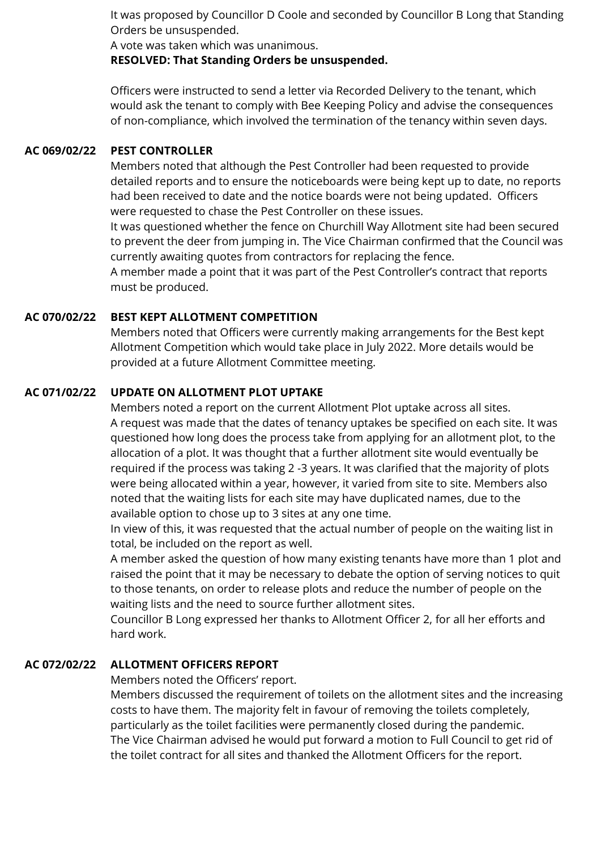It was proposed by Councillor D Coole and seconded by Councillor B Long that Standing Orders be unsuspended.

A vote was taken which was unanimous.

**RESOLVED: That Standing Orders be unsuspended.**

Officers were instructed to send a letter via Recorded Delivery to the tenant, which would ask the tenant to comply with Bee Keeping Policy and advise the consequences of non-compliance, which involved the termination of the tenancy within seven days.

## **AC 069/02/22 PEST CONTROLLER**

Members noted that although the Pest Controller had been requested to provide detailed reports and to ensure the noticeboards were being kept up to date, no reports had been received to date and the notice boards were not being updated. Officers were requested to chase the Pest Controller on these issues.

It was questioned whether the fence on Churchill Way Allotment site had been secured to prevent the deer from jumping in. The Vice Chairman confirmed that the Council was currently awaiting quotes from contractors for replacing the fence.

A member made a point that it was part of the Pest Controller's contract that reports must be produced.

# **AC 070/02/22 BEST KEPT ALLOTMENT COMPETITION**

Members noted that Officers were currently making arrangements for the Best kept Allotment Competition which would take place in July 2022. More details would be provided at a future Allotment Committee meeting.

# **AC 071/02/22 UPDATE ON ALLOTMENT PLOT UPTAKE**

Members noted a report on the current Allotment Plot uptake across all sites. A request was made that the dates of tenancy uptakes be specified on each site. It was questioned how long does the process take from applying for an allotment plot, to the allocation of a plot. It was thought that a further allotment site would eventually be required if the process was taking 2 -3 years. It was clarified that the majority of plots were being allocated within a year, however, it varied from site to site. Members also noted that the waiting lists for each site may have duplicated names, due to the available option to chose up to 3 sites at any one time.

In view of this, it was requested that the actual number of people on the waiting list in total, be included on the report as well.

A member asked the question of how many existing tenants have more than 1 plot and raised the point that it may be necessary to debate the option of serving notices to quit to those tenants, on order to release plots and reduce the number of people on the waiting lists and the need to source further allotment sites.

Councillor B Long expressed her thanks to Allotment Officer 2, for all her efforts and hard work.

# **AC 072/02/22 ALLOTMENT OFFICERS REPORT**

Members noted the Officers' report.

Members discussed the requirement of toilets on the allotment sites and the increasing costs to have them. The majority felt in favour of removing the toilets completely, particularly as the toilet facilities were permanently closed during the pandemic. The Vice Chairman advised he would put forward a motion to Full Council to get rid of the toilet contract for all sites and thanked the Allotment Officers for the report.